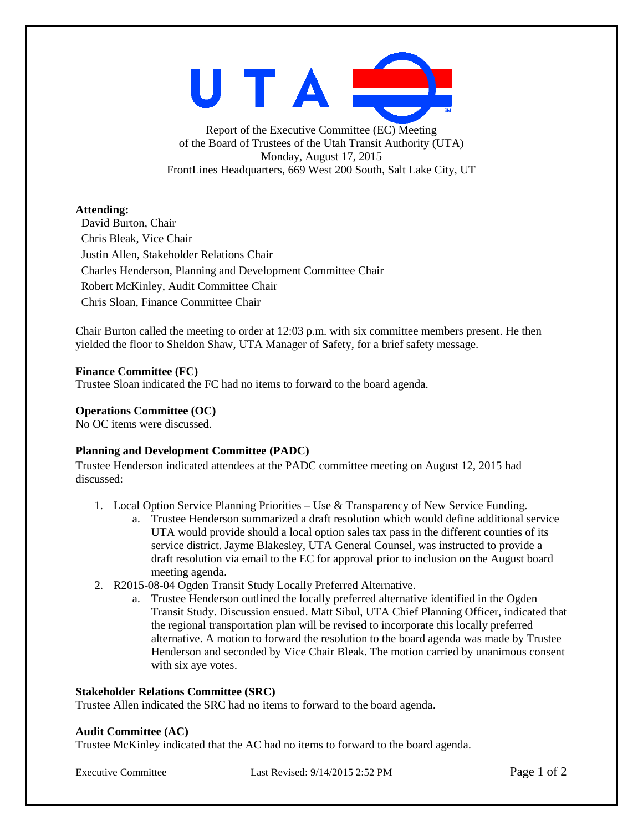UTAI

Report of the Executive Committee (EC) Meeting of the Board of Trustees of the Utah Transit Authority (UTA) Monday, August 17, 2015 FrontLines Headquarters, 669 West 200 South, Salt Lake City, UT

# **Attending:**

David Burton, Chair Chris Bleak, Vice Chair Justin Allen, Stakeholder Relations Chair Charles Henderson, Planning and Development Committee Chair Robert McKinley, Audit Committee Chair Chris Sloan, Finance Committee Chair

Chair Burton called the meeting to order at 12:03 p.m. with six committee members present. He then yielded the floor to Sheldon Shaw, UTA Manager of Safety, for a brief safety message.

# **Finance Committee (FC)**

Trustee Sloan indicated the FC had no items to forward to the board agenda.

# **Operations Committee (OC)**

No OC items were discussed.

# **Planning and Development Committee (PADC)**

Trustee Henderson indicated attendees at the PADC committee meeting on August 12, 2015 had discussed:

- 1. Local Option Service Planning Priorities Use & Transparency of New Service Funding.
	- a. Trustee Henderson summarized a draft resolution which would define additional service UTA would provide should a local option sales tax pass in the different counties of its service district. Jayme Blakesley, UTA General Counsel, was instructed to provide a draft resolution via email to the EC for approval prior to inclusion on the August board meeting agenda.
- 2. R2015-08-04 Ogden Transit Study Locally Preferred Alternative.
	- a. Trustee Henderson outlined the locally preferred alternative identified in the Ogden Transit Study. Discussion ensued. Matt Sibul, UTA Chief Planning Officer, indicated that the regional transportation plan will be revised to incorporate this locally preferred alternative. A motion to forward the resolution to the board agenda was made by Trustee Henderson and seconded by Vice Chair Bleak. The motion carried by unanimous consent with six aye votes.

# **Stakeholder Relations Committee (SRC)**

Trustee Allen indicated the SRC had no items to forward to the board agenda.

# **Audit Committee (AC)**

Trustee McKinley indicated that the AC had no items to forward to the board agenda.

Executive Committee Last Revised: 9/14/2015 2:52 PM Page 1 of 2